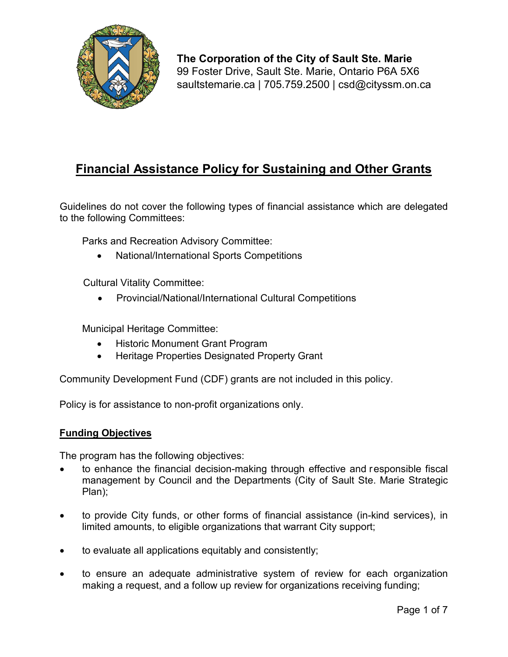

**The Corporation of the City of Sault Ste. Marie** 99 Foster Drive, Sault Ste. Marie, Ontario P6A 5X6 [saultstemarie.ca](https://saultstemarie.ca) | 705.759.2500 | [csd@cityssm.on.ca](mailto:csd@cityssm.on.ca)

# **Financial Assistance Policy for Sustaining and Other Grants**

Guidelines do not cover the following types of financial assistance which are delegated to the following Committees:

Parks and Recreation Advisory Committee:

• National/International Sports Competitions

Cultural Vitality Committee:

• Provincial/National/International Cultural Competitions

Municipal Heritage Committee:

- Historic Monument Grant Program
- Heritage Properties Designated Property Grant

Community Development Fund (CDF) grants are not included in this policy.

Policy is for assistance to non-profit organizations only.

#### **Funding Objectives**

The program has the following objectives:

- to enhance the financial decision-making through effective and responsible fiscal management by Council and the Departments (City of Sault Ste. Marie Strategic Plan);
- to provide City funds, or other forms of financial assistance (in-kind services), in limited amounts, to eligible organizations that warrant City support;
- to evaluate all applications equitably and consistently;
- to ensure an adequate administrative system of review for each organization making a request, and a follow up review for organizations receiving funding;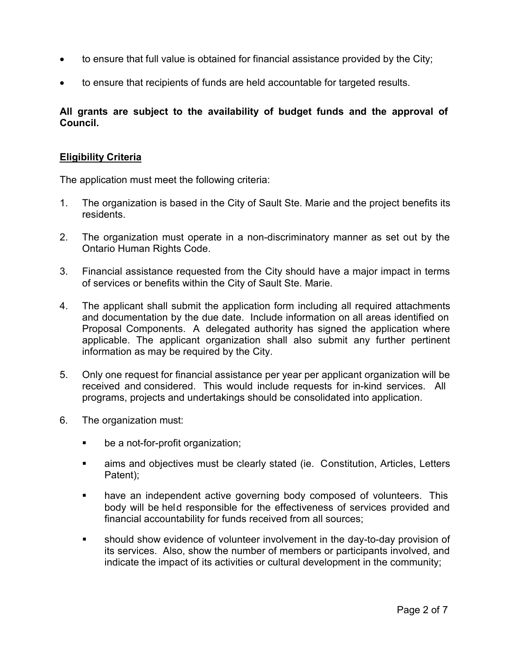- to ensure that full value is obtained for financial assistance provided by the City;
- to ensure that recipients of funds are held accountable for targeted results.

## **All grants are subject to the availability of budget funds and the approval of Council.**

## **Eligibility Criteria**

The application must meet the following criteria:

- 1. The organization is based in the City of Sault Ste. Marie and the project benefits its residents.
- 2. The organization must operate in a non-discriminatory manner as set out by the Ontario Human Rights Code.
- 3. Financial assistance requested from the City should have a major impact in terms of services or benefits within the City of Sault Ste. Marie.
- 4. The applicant shall submit the application form including all required attachments and documentation by the due date. Include information on all areas identified on Proposal Components. A delegated authority has signed the application where applicable. The applicant organization shall also submit any further pertinent information as may be required by the City.
- 5. Only one request for financial assistance per year per applicant organization will be received and considered. This would include requests for in-kind services. All programs, projects and undertakings should be consolidated into application.
- 6. The organization must:
	- be a not-for-profit organization;
	- aims and objectives must be clearly stated (ie. Constitution, Articles, Letters Patent);
	- **have an independent active governing body composed of volunteers.** This body will be held responsible for the effectiveness of services provided and financial accountability for funds received from all sources;
	- should show evidence of volunteer involvement in the day-to-day provision of its services. Also, show the number of members or participants involved, and indicate the impact of its activities or cultural development in the community;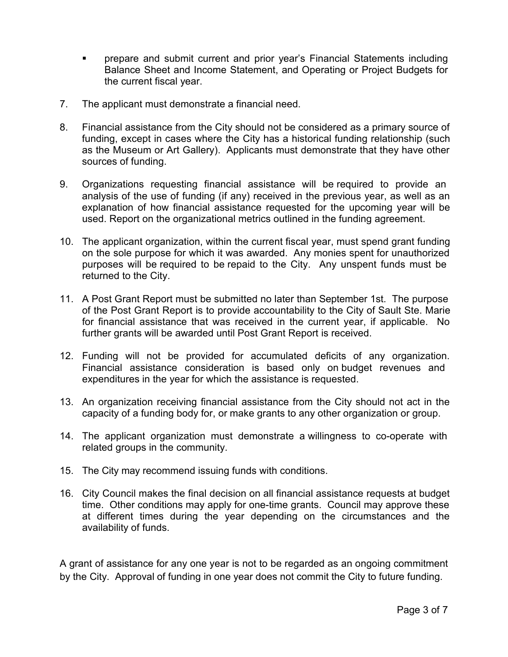- **•** prepare and submit current and prior year's Financial Statements including Balance Sheet and Income Statement, and Operating or Project Budgets for the current fiscal year.
- 7. The applicant must demonstrate a financial need.
- 8. Financial assistance from the City should not be considered as a primary source of funding, except in cases where the City has a historical funding relationship (such as the Museum or Art Gallery). Applicants must demonstrate that they have other sources of funding.
- 9. Organizations requesting financial assistance will be required to provide an analysis of the use of funding (if any) received in the previous year, as well as an explanation of how financial assistance requested for the upcoming year will be used. Report on the organizational metrics outlined in the funding agreement.
- 10. The applicant organization, within the current fiscal year, must spend grant funding on the sole purpose for which it was awarded. Any monies spent for unauthorized purposes will be required to be repaid to the City. Any unspent funds must be returned to the City.
- 11. A Post Grant Report must be submitted no later than September 1st. The purpose of the Post Grant Report is to provide accountability to the City of Sault Ste. Marie for financial assistance that was received in the current year, if applicable. No further grants will be awarded until Post Grant Report is received.
- 12. Funding will not be provided for accumulated deficits of any organization. Financial assistance consideration is based only on budget revenues and expenditures in the year for which the assistance is requested.
- 13. An organization receiving financial assistance from the City should not act in the capacity of a funding body for, or make grants to any other organization or group.
- 14. The applicant organization must demonstrate a willingness to co-operate with related groups in the community.
- 15. The City may recommend issuing funds with conditions.
- 16. City Council makes the final decision on all financial assistance requests at budget time. Other conditions may apply for one-time grants. Council may approve these at different times during the year depending on the circumstances and the availability of funds.

A grant of assistance for any one year is not to be regarded as an ongoing commitment by the City. Approval of funding in one year does not commit the City to future funding.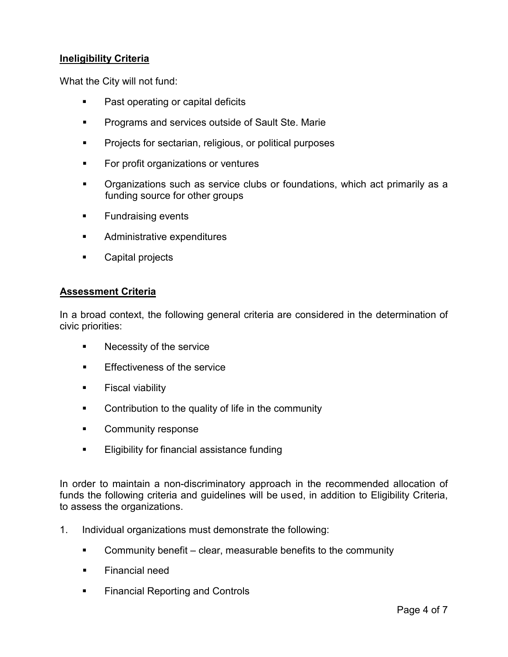## **Ineligibility Criteria**

What the City will not fund:

- Past operating or capital deficits
- **Programs and services outside of Sault Ste. Marie**
- **Projects for sectarian, religious, or political purposes**
- **For profit organizations or ventures**
- Organizations such as service clubs or foundations, which act primarily as a funding source for other groups
- **Fundraising events**
- **Administrative expenditures**
- **Capital projects**

#### **Assessment Criteria**

In a broad context, the following general criteria are considered in the determination of civic priorities:

- **Necessity of the service**
- **Effectiveness of the service**
- **Fiscal viability**
- **Contribution to the quality of life in the community**
- **EXECOMMUNITY RESPONSE**
- **Eligibility for financial assistance funding**

In order to maintain a non-discriminatory approach in the recommended allocation of funds the following criteria and guidelines will be used, in addition to Eligibility Criteria, to assess the organizations.

- 1. Individual organizations must demonstrate the following:
	- Community benefit clear, measurable benefits to the community
	- **Financial need**
	- Financial Reporting and Controls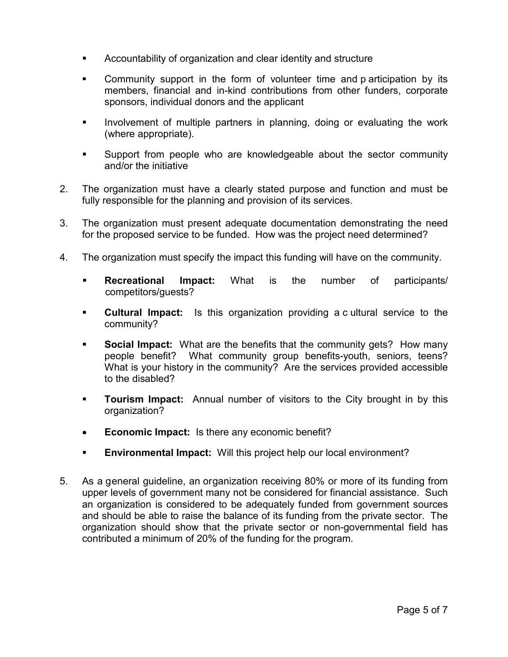- Accountability of organization and clear identity and structure
- Community support in the form of volunteer time and p articipation by its members, financial and in-kind contributions from other funders, corporate sponsors, individual donors and the applicant
- **Involvement of multiple partners in planning, doing or evaluating the work** (where appropriate).
- Support from people who are knowledgeable about the sector community and/or the initiative
- 2. The organization must have a clearly stated purpose and function and must be fully responsible for the planning and provision of its services.
- 3. The organization must present adequate documentation demonstrating the need for the proposed service to be funded. How was the project need determined?
- 4. The organization must specify the impact this funding will have on the community.
	- **Recreational Impact:** What is the number of participants/ competitors/guests?
	- **Cultural Impact:** Is this organization providing a c ultural service to the community?
	- **Social Impact:** What are the benefits that the community gets? How many people benefit? What community group benefits-youth, seniors, teens? What is your history in the community? Are the services provided accessible to the disabled?
	- **Tourism Impact:** Annual number of visitors to the City brought in by this organization?
	- **Economic Impact:** Is there any economic benefit?
	- **Environmental Impact:** Will this project help our local environment?
- 5. As a general guideline, an organization receiving 80% or more of its funding from upper levels of government many not be considered for financial assistance. Such an organization is considered to be adequately funded from government sources and should be able to raise the balance of its funding from the private sector. The organization should show that the private sector or non-governmental field has contributed a minimum of 20% of the funding for the program.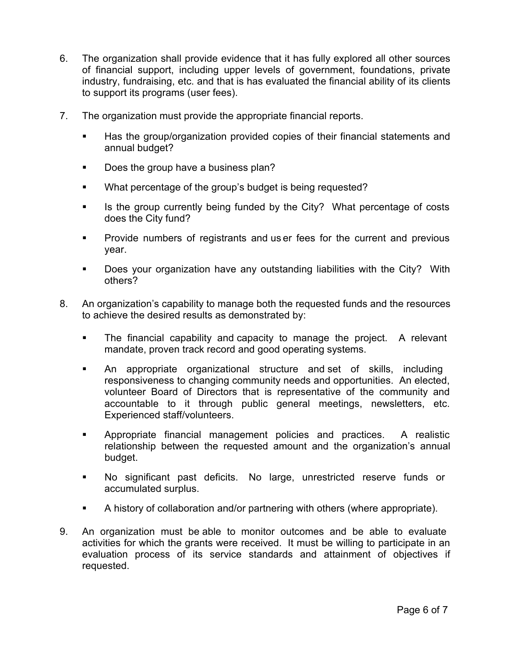- 6. The organization shall provide evidence that it has fully explored all other sources of financial support, including upper levels of government, foundations, private industry, fundraising, etc. and that is has evaluated the financial ability of its clients to support its programs (user fees).
- 7. The organization must provide the appropriate financial reports.
	- Has the group/organization provided copies of their financial statements and annual budget?
	- Does the group have a business plan?
	- **What percentage of the group's budget is being requested?**
	- If Is the group currently being funded by the City? What percentage of costs does the City fund?
	- **Provide numbers of registrants and us er fees for the current and previous** year.
	- **Does your organization have any outstanding liabilities with the City? With** others?
- 8. An organization's capability to manage both the requested funds and the resources to achieve the desired results as demonstrated by:
	- The financial capability and capacity to manage the project. A relevant mandate, proven track record and good operating systems.
	- An appropriate organizational structure and set of skills, including responsiveness to changing community needs and opportunities. An elected, volunteer Board of Directors that is representative of the community and accountable to it through public general meetings, newsletters, etc. Experienced staff/volunteers.
	- Appropriate financial management policies and practices. A realistic relationship between the requested amount and the organization's annual budget.
	- No significant past deficits. No large, unrestricted reserve funds or accumulated surplus.
	- A history of collaboration and/or partnering with others (where appropriate).
- 9. An organization must be able to monitor outcomes and be able to evaluate activities for which the grants were received. It must be willing to participate in an evaluation process of its service standards and attainment of objectives if requested.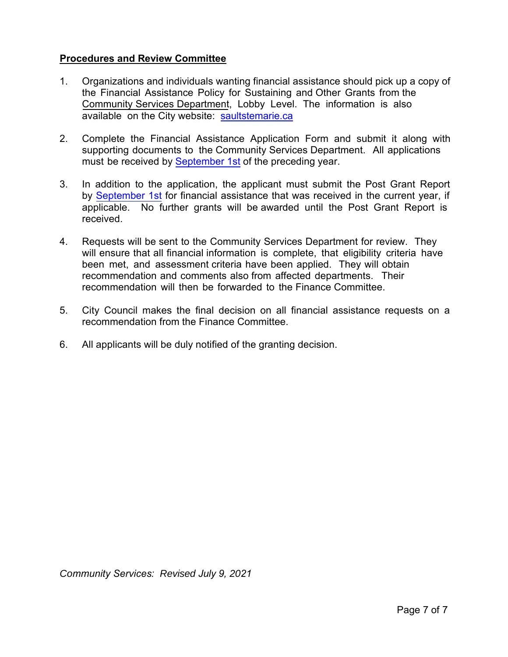### **Procedures and Review Committee**

- 1. Organizations and individuals wanting financial assistance should pick up a copy of the Financial Assistance Policy for Sustaining and Other Grants from the Community Services Department, Lobby Level. The information is also available on the City website: [saultstemarie](http://www.saultstemarie.ca/).ca
- 2. Complete the Financial Assistance Application Form and submit it along with supporting documents to the Community Services Department. All applications must be received by September 1st of the preceding year.
- 3. In addition to the application, the applicant must submit the Post Grant Report by **September 1st** for financial assistance that was received in the current year, if applicable. No further grants will be awarded until the Post Grant Report is received.
- 4. Requests will be sent to the Community Services Department for review. They will ensure that all financial information is complete, that eligibility criteria have been met, and assessment criteria have been applied. They will obtain recommendation and comments also from affected departments. Their recommendation will then be forwarded to the Finance Committee.
- 5. City Council makes the final decision on all financial assistance requests on a recommendation from the Finance Committee.
- 6. All applicants will be duly notified of the granting decision.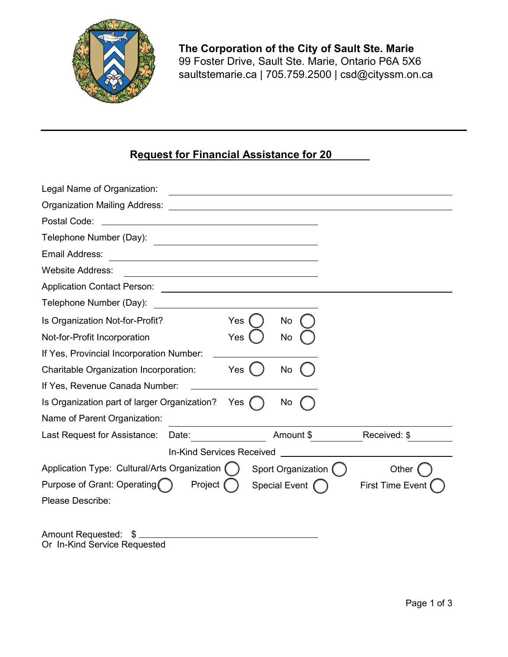

**The Corporation of the City of Sault Ste. Marie** 99 Foster Drive, Sault Ste. Marie, Ontario P6A 5X6 [saultstemarie.ca](https://saultstemarie.ca) | 705.759.2500 | [csd@cityssm.on.ca](mailto:csd@cityssm.on.ca)

## **Request for Financial Assistance for 20**

| Legal Name of Organization:                                                                                                                       |                                            |  |  |  |
|---------------------------------------------------------------------------------------------------------------------------------------------------|--------------------------------------------|--|--|--|
| <b>Organization Mailing Address:</b>                                                                                                              |                                            |  |  |  |
| Postal Code:                                                                                                                                      |                                            |  |  |  |
| Telephone Number (Day):                                                                                                                           |                                            |  |  |  |
| Email Address:<br>the control of the control of the control of the control of the control of                                                      |                                            |  |  |  |
| <b>Website Address:</b><br><u> 1989 - Johann Stoff, deutscher Stoffen und der Stoffen und der Stoffen und der Stoffen und der Stoffen und der</u> |                                            |  |  |  |
| <b>Application Contact Person:</b>                                                                                                                |                                            |  |  |  |
| Telephone Number (Day):                                                                                                                           |                                            |  |  |  |
| Is Organization Not-for-Profit?<br>Yes                                                                                                            | No                                         |  |  |  |
| Yes<br>Not-for-Profit Incorporation                                                                                                               | No                                         |  |  |  |
| If Yes, Provincial Incorporation Number:                                                                                                          |                                            |  |  |  |
| Charitable Organization Incorporation:<br>Yes                                                                                                     | No                                         |  |  |  |
| If Yes, Revenue Canada Number:                                                                                                                    |                                            |  |  |  |
| Is Organization part of larger Organization?<br>Yes                                                                                               | No                                         |  |  |  |
| Name of Parent Organization:                                                                                                                      |                                            |  |  |  |
| Last Request for Assistance:<br>Date:                                                                                                             | Received: \$<br>Amount \$                  |  |  |  |
| <b>In-Kind Services Received</b>                                                                                                                  |                                            |  |  |  |
| Application Type: Cultural/Arts Organization (                                                                                                    | Sport Organization (<br>Other              |  |  |  |
| Purpose of Grant: Operating<br>Project                                                                                                            | Special Event (<br><b>First Time Event</b> |  |  |  |
| Please Describe:                                                                                                                                  |                                            |  |  |  |
|                                                                                                                                                   |                                            |  |  |  |
| Amount Requested:<br>S                                                                                                                            |                                            |  |  |  |

Or In-Kind Service Requested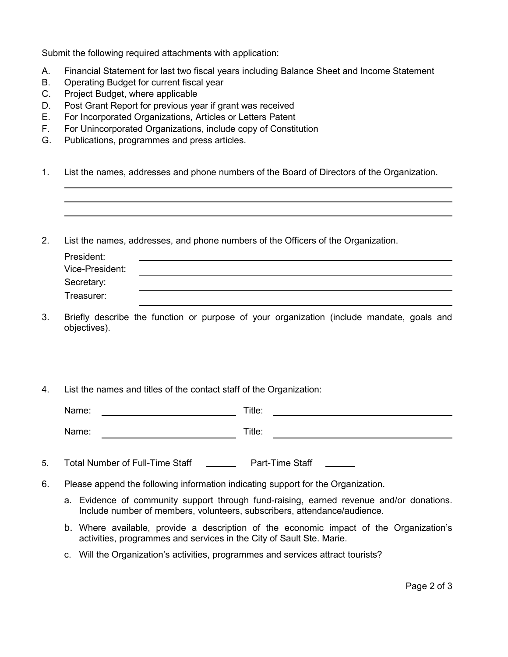Submit the following required attachments with application:

- A. Financial Statement for last two fiscal years including Balance Sheet and Income Statement
- B. Operating Budget for current fiscal year
- C. Project Budget, where applicable
- D. Post Grant Report for previous year if grant was received
- E. For Incorporated Organizations, Articles or Letters Patent
- F. For Unincorporated Organizations, include copy of Constitution
- G. Publications, programmes and press articles.
- 1. List the names, addresses and phone numbers of the Board of Directors of the Organization.
- 2. List the names, addresses, and phone numbers of the Officers of the Organization.

| President:      |  |
|-----------------|--|
| Vice-President: |  |
| Secretary:      |  |
| Treasurer:      |  |

- 3. Briefly describe the function or purpose of your organization (include mandate, goals and objectives).
- 4. List the names and titles of the contact staff of the Organization:

Name: Title: Title: Title: Title: Title: Title: Title: Title: Title: Title: Title: Title: Title: Title: Title: Title: Title: Title: Title: Title: Title: Title: Title: Title: Title: Title: Title: Title: Title: Title: Title:

| Name:   |        |
|---------|--------|
| _______ | Title: |
|         |        |

- 5. Total Number of Full-Time Staff Part-Time Staff
- 6. Please append the following information indicating support for the Organization.
	- a. Evidence of community support through fund-raising, earned revenue and/or donations. Include number of members, volunteers, subscribers, attendance/audience.
	- b. Where available, provide a description of the economic impact of the Organization's activities, programmes and services in the City of Sault Ste. Marie.
	- c. Will the Organization's activities, programmes and services attract tourists?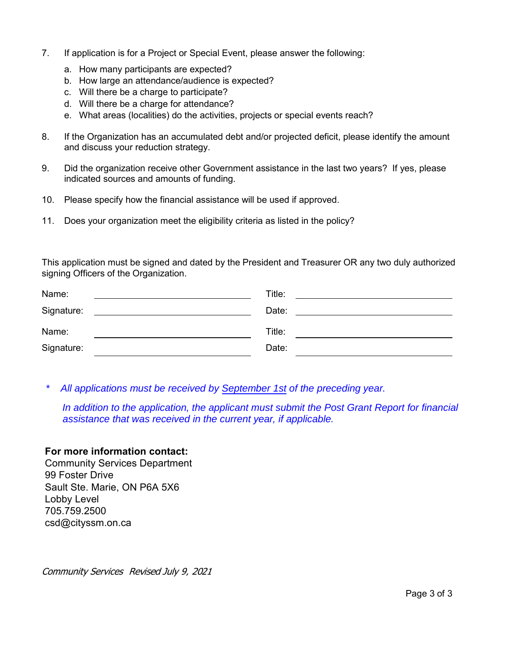- 7. If application is for a Project or Special Event, please answer the following:
	- a. How many participants are expected?
	- b. How large an attendance/audience is expected?
	- c. Will there be a charge to participate?
	- d. Will there be a charge for attendance?
	- e. What areas (localities) do the activities, projects or special events reach?
- 8. If the Organization has an accumulated debt and/or projected deficit, please identify the amount and discuss your reduction strategy.
- 9. Did the organization receive other Government assistance in the last two years? If yes, please indicated sources and amounts of funding.
- 10. Please specify how the financial assistance will be used if approved.
- 11. Does your organization meet the eligibility criteria as listed in the policy?

This application must be signed and dated by the President and Treasurer OR any two duly authorized signing Officers of the Organization.

| Title:<br>the contract of the contract of the contract of the contract of the contract of |
|-------------------------------------------------------------------------------------------|
| Date:                                                                                     |
| Title:                                                                                    |
| Date:                                                                                     |
|                                                                                           |

*\* All applications must be received by September 1st of the preceding year.* 

*In addition to the application, the applicant must submit the Post Grant Report for financial assistance that was received in the current year, if applicable.* 

#### **For more information contact:**

Community Services Department 99 Foster Drive Sault Ste. Marie, ON P6A 5X6 Lobby Level 705.759.2500 [csd@cityssm.on.ca](mailto:csd@cityssm.on.ca)

Community Services Revised July 9, 2021